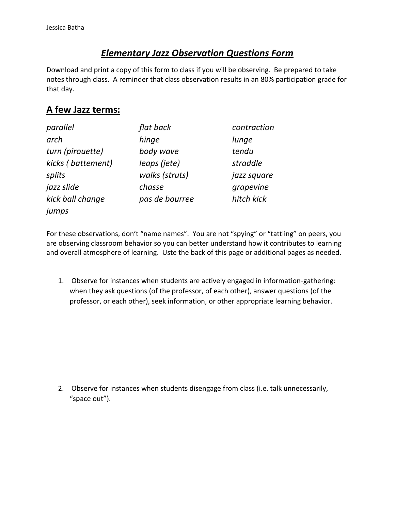## *Elementary Jazz Observation Questions Form*

Download and print a copy of this form to class if you will be observing. Be prepared to take notes through class. A reminder that class observation results in an 80% participation grade for that day.

## **A few Jazz terms:**

| parallel          | flat back      | contraction |
|-------------------|----------------|-------------|
| arch              | hinge          | lunge       |
| turn (pirouette)  | body wave      | tendu       |
| kicks (battement) | leaps (jete)   | straddle    |
| splits            | walks (struts) | jazz square |
| jazz slide        | chasse         | grapevine   |
| kick ball change  | pas de bourree | hitch kick  |
| jumps             |                |             |

For these observations, don't "name names". You are not "spying" or "tattling" on peers, you are observing classroom behavior so you can better understand how it contributes to learning and overall atmosphere of learning. Uste the back of this page or additional pages as needed.

1. Observe for instances when students are actively engaged in information-gathering: when they ask questions (of the professor, of each other), answer questions (of the professor, or each other), seek information, or other appropriate learning behavior.

2. Observe for instances when students disengage from class (i.e. talk unnecessarily, "space out").